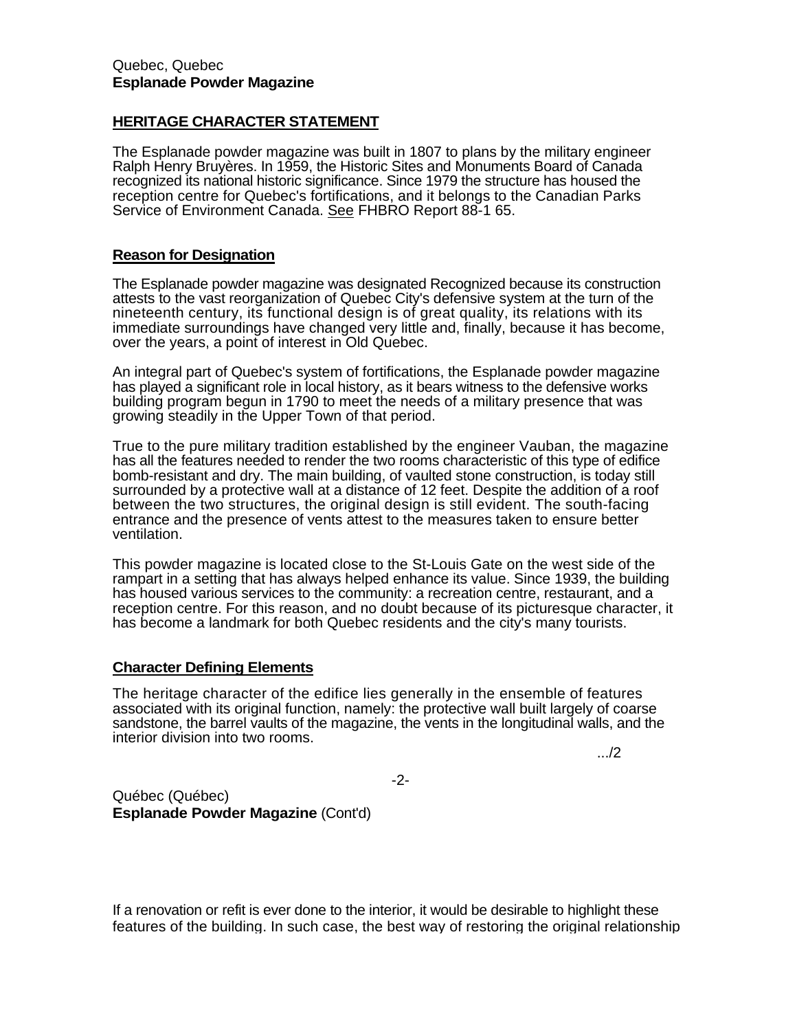## **HERITAGE CHARACTER STATEMENT**

The Esplanade powder magazine was built in 1807 to plans by the military engineer Ralph Henry Bruyères. In 1959, the Historic Sites and Monuments Board of Canada recognized its national historic significance. Since 1979 the structure has housed the reception centre for Quebec's fortifications, and it belongs to the Canadian Parks Service of Environment Canada. See FHBRO Report 88-1 65.

## **Reason for Designation**

The Esplanade powder magazine was designated Recognized because its construction attests to the vast reorganization of Quebec City's defensive system at the turn of the nineteenth century, its functional design is of great quality, its relations with its immediate surroundings have changed very little and, finally, because it has become, over the years, a point of interest in Old Quebec.

An integral part of Quebec's system of fortifications, the Esplanade powder magazine has played a significant role in local history, as it bears witness to the defensive works building program begun in 1790 to meet the needs of a military presence that was growing steadily in the Upper Town of that period.

True to the pure military tradition established by the engineer Vauban, the magazine has all the features needed to render the two rooms characteristic of this type of edifice bomb-resistant and dry. The main building, of vaulted stone construction, is today still surrounded by a protective wall at a distance of 12 feet. Despite the addition of a roof between the two structures, the original design is still evident. The south-facing entrance and the presence of vents attest to the measures taken to ensure better ventilation.

This powder magazine is located close to the St-Louis Gate on the west side of the rampart in a setting that has always helped enhance its value. Since 1939, the building has housed various services to the community: a recreation centre, restaurant, and a reception centre. For this reason, and no doubt because of its picturesque character, it has become a landmark for both Quebec residents and the city's many tourists.

## **Character Defining Elements**

The heritage character of the edifice lies generally in the ensemble of features associated with its original function, namely: the protective wall built largely of coarse sandstone, the barrel vaults of the magazine, the vents in the longitudinal walls, and the interior division into two rooms.

.../2

-2-

Québec (Québec) **Esplanade Powder Magazine** (Cont'd)

If a renovation or refit is ever done to the interior, it would be desirable to highlight these features of the building. In such case, the best way of restoring the original relationship